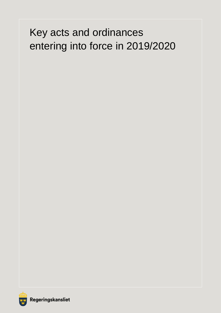# Key acts and ordinances entering into force in 2019/2020

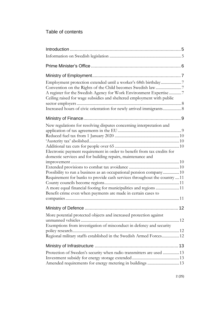## Table of contents

| Employment protection extended until a worker's 68th birthday7<br>A register for the Swedish Agency for Work Environment Expertise 7<br>Ceiling raised for wage subsidies and sheltered employment with public<br>Increased hours of civic orientation for newly arrived immigrants 8 |  |
|---------------------------------------------------------------------------------------------------------------------------------------------------------------------------------------------------------------------------------------------------------------------------------------|--|
|                                                                                                                                                                                                                                                                                       |  |
| New regulations for resolving disputes concerning interpretation and                                                                                                                                                                                                                  |  |
|                                                                                                                                                                                                                                                                                       |  |
| Electronic payment requirement in order to benefit from tax credits for<br>domestic services and for building repairs, maintenance and                                                                                                                                                |  |
|                                                                                                                                                                                                                                                                                       |  |
|                                                                                                                                                                                                                                                                                       |  |
| Possibility to run a business as an occupational pension company10<br>Requirement for banks to provide cash services throughout the country  11                                                                                                                                       |  |
|                                                                                                                                                                                                                                                                                       |  |
| A more equal financial footing for municipalities and regions 11                                                                                                                                                                                                                      |  |
| Benefit crime even when payments are made in certain cases to                                                                                                                                                                                                                         |  |
|                                                                                                                                                                                                                                                                                       |  |
|                                                                                                                                                                                                                                                                                       |  |
| More potential protected objects and increased protection against                                                                                                                                                                                                                     |  |
| Exemptions from investigation of misconduct in defency and security                                                                                                                                                                                                                   |  |
| Regional military staffs established in the Swedish Armed Forces12                                                                                                                                                                                                                    |  |
|                                                                                                                                                                                                                                                                                       |  |
| Protection of Sweden's security when radio transmitters are used  13                                                                                                                                                                                                                  |  |
|                                                                                                                                                                                                                                                                                       |  |
| Amended requirements for energy metering in buildings 13                                                                                                                                                                                                                              |  |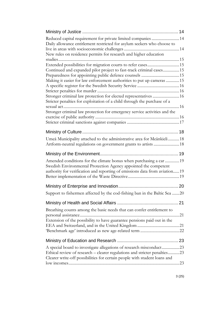| Reduced capital requirement for private limited companies  14<br>Daily allowance entitlement restricted for asylum seekers who choose to |  |
|------------------------------------------------------------------------------------------------------------------------------------------|--|
| New rules on residence permits for research and higher education                                                                         |  |
|                                                                                                                                          |  |
| Extended possibilities for migration courts to refer cases15                                                                             |  |
| Continued and expanded pilot project to fast-track criminal cases 15                                                                     |  |
|                                                                                                                                          |  |
| Making it easier for law enforcement authorities to put up cameras  15                                                                   |  |
|                                                                                                                                          |  |
|                                                                                                                                          |  |
| Stronger criminal law protection for elected representatives  16                                                                         |  |
| Stricter penalties for exploitation of a child through the purchase of a                                                                 |  |
| Stronger criminal law protection for emergency service activities and the                                                                |  |
|                                                                                                                                          |  |
|                                                                                                                                          |  |
|                                                                                                                                          |  |
| Umeå Municipality attached to the administrative area for Meänkieli 18                                                                   |  |
|                                                                                                                                          |  |
|                                                                                                                                          |  |
| Amended conditions for the climate bonus when purchasing a car 19<br>Swedish Environmental Protection Agency appointed the competent     |  |
| authority for verification and reporting of emissions data from aviation 19                                                              |  |
|                                                                                                                                          |  |
|                                                                                                                                          |  |
| Support to fishermen affected by the cod-fishing ban in the Baltic Sea 20                                                                |  |
|                                                                                                                                          |  |
| Breathing counts among the basic needs that can confer entitlement to                                                                    |  |
|                                                                                                                                          |  |
| Extension of the possibility to have guarantee pensions paid out in the                                                                  |  |
|                                                                                                                                          |  |
|                                                                                                                                          |  |
|                                                                                                                                          |  |
| A special board to investigate allegations of research misconduct23                                                                      |  |
| Ethical review of research – clearer regulations and stricter penalties23                                                                |  |
| Clearer write-off possibilities for certain people with student loans and                                                                |  |
|                                                                                                                                          |  |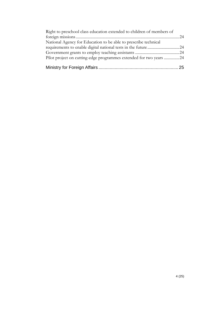| Right to preschool class education extended to children of members of |  |
|-----------------------------------------------------------------------|--|
|                                                                       |  |
| National Agency for Education to be able to prescribe technical       |  |
|                                                                       |  |
|                                                                       |  |
| Pilot project on cutting-edge programmes extended for two years 24    |  |
|                                                                       |  |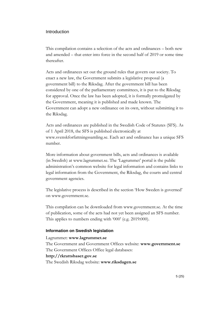#### <span id="page-4-0"></span>Introduction

This compilation contains a selection of the acts and ordinances – both new and amended – that enter into force in the second half of 2019 or some time thereafter.

Acts and ordinances set out the ground rules that govern our society. To enact a new law, the Government submits a legislative proposal (a government bill) to the Riksdag. After the government bill has been considered by one of the parliamentary committees, it is put to the Riksdag for approval. Once the law has been adopted, it is formally promulgated by the Government, meaning it is published and made known. The Government can adopt a new ordinance on its own, without submitting it to the Riksdag.

Acts and ordinances are published in the Swedish Code of Statutes (SFS). As of 1 April 2018, the SFS is published electronically at www.svenskforfattningssamling.se. Each act and ordinance has a unique SFS number.

More information about government bills, acts and ordinances is available (in Swedish) at www.lagrummet.se. The 'Lagrummet' portal is the public administration's common website for legal information and contains links to legal information from the Government, the Riksdag, the courts and central government agencies.

The legislative process is described in the section 'How Sweden is governed' on www.government.se.

This compilation can be downloaded from www.government.se. At the time of publication, some of the acts had not yet been assigned an SFS number. This applies to numbers ending with '000' (e.g. 2019:000).

#### <span id="page-4-1"></span>**Information on Swedish legislation**

Lagrummet: **www.lagrummet.se** The Government and Government Offices website: **www.government.se** The Government Offices Office legal databases: **http://rkrattsbaser.gov.se** The Swedish Riksdag website: **www.riksdagen.se**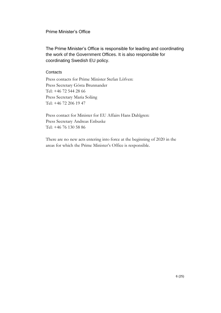## <span id="page-5-0"></span>Prime Minister's Office

The Prime Minister's Office is responsible for leading and coordinating the work of the Government Offices. It is also responsible for coordinating Swedish EU policy.

## **Contacts**

Press contacts for Prime Minister Stefan Löfven: Press Secretary Gösta Brunnander Tel: +46 72 544 28 66 Press Secretary Maria Soläng Tel: +46 72 206 19 47

Press contact for Minister for EU Affairs Hans Dahlgren: Press Secretary Andreas Enbuske Tel: +46 76 130 58 86

There are no new acts entering into force at the beginning of 2020 in the areas for which the Prime Minister's Office is responsible.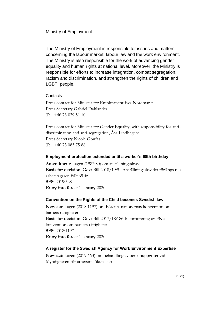#### <span id="page-6-0"></span>Ministry of Employment

The Ministry of Employment is responsible for issues and matters concerning the labour market, labour law and the work environment. The Ministry is also responsible for the work of advancing gender equality and human rights at national level. Moreover, the Ministry is responsible for efforts to increase integration, combat segregation, racism and discrimination, and strengthen the rights of children and LGBTI people.

#### **Contacts**

Press contact for Minister for Employment Eva Nordmark: Press Secretary Gabriel Dahlander Tel: +46 73 029 51 10

Press contact for Minister for Gender Equality, with responsibility for antidiscrimination and anti-segregation, Åsa Lindhagen: Press Secretary Nicole Goufas Tel: +46 73 085 75 88

#### <span id="page-6-1"></span>**Employment protection extended until a worker's 68th birthday**

**Amendment**: Lagen (1982:80) om anställningsskydd **Basis for decision**: Govt Bill 2018/19:91 Anställningsskyddet förlängs tills arbetstagaren fyllt 69 år **SFS**: 2019:528 **Entry into force**: 1 January 2020

#### <span id="page-6-2"></span>**Convention on the Rights of the Child becomes Swedish law**

**New act**: Lagen (2018:1197) om Förenta nationernas konvention om barnets rättigheter **Basis for decision**: Govt Bill 2017/18:186 Inkorporering av FN:s konvention om barnets rättigheter **SFS**: 2018:1197 **Entry into force**: 1 January 2020

#### <span id="page-6-3"></span>**A register for the Swedish Agency for Work Environment Expertise**

**New act**: Lagen (2019:663) om behandling av personuppgifter vid Myndigheten för arbetsmiljökunskap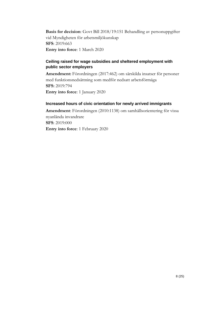**Basis for decision**: Govt Bill 2018/19:151 Behandling av personuppgifter vid Myndigheten för arbetsmiljökunskap **SFS**: 2019:663 **Entry into force**: 1 March 2020

## <span id="page-7-0"></span>**Ceiling raised for wage subsidies and sheltered employment with public sector employers**

**Amendment:** Förordningen (2017:462) om särskilda insatser för personer med funktionsnedsättning som medför nedsatt arbetsförmåga **SFS:** 2019:794 **Entry into force**: 1 January 2020

## <span id="page-7-1"></span>**Increased hours of civic orientation for newly arrived immigrants**

**Amendment**: Förordningen (2010:1138) om samhällsorientering för vissa nyanlända invandrare **SFS**: 2019:000 **Entry into force**: 1 February 2020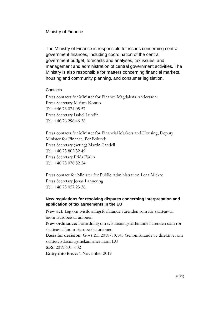#### <span id="page-8-0"></span>Ministry of Finance

The Ministry of Finance is responsible for issues concerning central government finances, including coordination of the central government budget, forecasts and analyses, tax issues, and management and administration of central government activities. The Ministry is also responsible for matters concerning financial markets, housing and community planning, and consumer legislation.

#### **Contacts**

Press contacts for Minister for Finance Magdalena Andersson: Press Secretary Mirjam Kontio Tel: +46 73 074 05 57 Press Secretary Isabel Lundin Tel: +46 76 296 46 38

Press contacts for Minister for Financial Markets and Housing, Deputy Minister for Finance, Per Bolund: Press Secretary (acting) Martin Candell Tel: +46 73 802 32 49 Press Secretary Frida Färlin Tel: +46 73 078 52 24

Press contact for Minister for Public Administration Lena Micko: Press Secretary Jonas Lannering Tel: +46 73 057 23 36

## <span id="page-8-1"></span>**New regulations for resolving disputes concerning interpretation and application of tax agreements in the EU**

**New act:** Lag om tvistlösningsförfarande i ärenden som rör skatteavtal inom Europeiska unionen **New ordinance:** Förordning om tvistlösningsförfarande i ärenden som rör skatteavtal inom Europeiska unionen **Basis for decision:** Govt Bill 2018/19:143 Genomförande av direktivet om skattetvistlösningsmekanismer inom EU **SFS:** 2019:601–602 **Entry into force:** 1 November 2019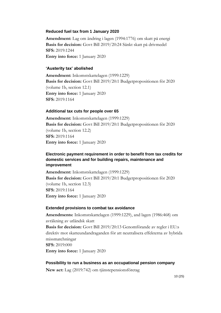#### <span id="page-9-0"></span>**Reduced fuel tax from 1 January 2020**

**Amendment:** Lag om ändring i lagen (1994:1776) om skatt på energi **Basis for decision:** Govt Bill 2019/20:24 Sänkt skatt på drivmedel **SFS:** 2019:1244 **Entry into force:** 1 January 2020

#### <span id="page-9-1"></span>**'Austerity tax' abolished**

**Amendment:** Inkomstskattelagen (1999:1229) **Basis for decision:** Govt Bill 2019/20:1 Budgetpropositionen för 2020 (volume 1b, section 12.1) **Entry into force:** 1 January 2020 **SFS:** 2019:1164

#### <span id="page-9-2"></span>**Additional tax cuts for people over 65**

**Amendment:** Inkomstskattelagen (1999:1229) **Basis for decision:** Govt Bill 2019/20:1 Budgetpropositionen för 2020 (volume 1b, section 12.2) **SFS:** 2019:1164 **Entry into force:** 1 January 2020

## <span id="page-9-3"></span>**Electronic payment requirement in order to benefit from tax credits for domestic services and for building repairs, maintenance and improvement**

**Amendment:** Inkomstskattelagen (1999:1229) **Basis for decision:** Govt Bill 2019/20:1 Budgetpropositionen för 2020 (volume 1b, section 12.3) **SFS:** 2019:1164 **Entry into force:** 1 January 2020

#### <span id="page-9-4"></span>**Extended provisions to combat tax avoidance**

**Amendments:** Inkomstskattelagen (1999:1229), and lagen (1986:468) om avräkning av utländsk skatt **Basis for decision:** Govt Bill 2019/20:13 Genomförande av regler i EU:s direktiv mot skatteundandraganden för att neutralisera effekterna av hybrida missmatchningar **SFS:** 2019:000 **Entry into force:** 1 January 2020

#### <span id="page-9-5"></span>**Possibility to run a business as an occupational pension company**

**New act:** Lag (2019:742) om tjänstepensionsföretag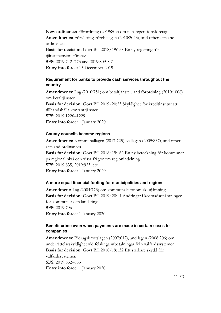**New ordinance:** Förordning (2019:809) om tjänstepensionsföretag **Amendments:** Försäkringsrörelselagen (2010:2043), and other acts and ordinances **Basis for decision:** Govt Bill 2018/19:158 En ny reglering för tjänstepensionsföretag **SFS:** 2019:742–773 and 2019:809-821 **Entry into force:** 15 December 2019

## <span id="page-10-0"></span>**Requirement for banks to provide cash services throughout the country**

**Amendments:** Lag (2010:751) om betaltjänster, and förordning (2010:1008) om betaltjänster **Basis for decision:** Govt Bill 2019/20:23 Skyldighet för kreditinstitut att tillhandahålla kontanttjänster **SFS:** 2019:1226–1229 **Entry into force:** 1 January 2020

#### <span id="page-10-1"></span>**County councils become regions**

**Amendments:** Kommunallagen (2017:725), vallagen (2005:837), and other acts and ordinances **Basis for decision:** Govt Bill 2018/19:162 En ny beteckning för kommuner på regional nivå och vissa frågor om regionindelning **SFS:** 2019:835, 2019:923, etc. **Entry into force:** 1 January 2020

#### <span id="page-10-2"></span>**A more equal financial footing for municipalities and regions**

**Amendment:** Lag (2004:773) om kommunalekonomisk utjämning **Basis for decision:** Govt Bill 2019/20:11 Ändringar i kostnadsutjämningen för kommuner och landsting **SFS:** 2019:796 **Entry into force**: 1 January 2020

## <span id="page-10-3"></span>**Benefit crime even when payments are made in certain cases to companies**

**Amendments:** Bidragsbrottslagen (2007:612), and lagen (2008:206) om underrättelseskyldighet vid felaktiga utbetalningar från välfärdssystemen **Basis for decision:** Govt Bill 2018/19:132 Ett starkare skydd för välfärdssystemen **SFS:** 2019:652–653 **Entry into force**: 1 January 2020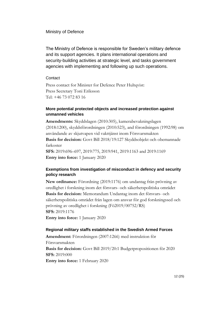#### <span id="page-11-0"></span>Ministry of Defence

The Ministry of Defence is responsible for Sweden's military defence and its support agencies. It plans international operations and security-building activities at strategic level, and tasks government agencies with implementing and following up such operations.

#### **Contact**

Press contact for Minister for Defence Peter Hultqvist: Press Secretary Toni Eriksson Tel: +46 73 072 83 16

#### <span id="page-11-1"></span>**More potential protected objects and increased protection against unmanned vehicles**

**Amendments:** Skyddslagen (2010:305), kamerabevakningslagen (2018:1200), skyddsförordningen (2010:523), and förordningen (1992:98) om användande av skjutvapen vid vakttjänst inom Försvarsmakten **Basis for decision:** Govt Bill 2018/19:127 Skyddsobjekt och obemannade farkoster **SFS:** 2019:696–697, 2019:775, 2019:941, 2019:1163 and 2019:1169 **Entry into force:** 1 January 2020

## <span id="page-11-2"></span>**Exemptions from investigation of misconduct in defency and security policy research**

**New ordinance:** Förordning (2019:1176) om undantag från prövning av oredlighet i forskning inom det försvars- och säkerhetspolitiska området **Basis for decision:** Memorandum Undantag inom det försvars- och säkerhetspolitiska området från lagen om ansvar för god forskningssed och prövning av oredlighet i forskning (Fö2019/00752/RS) **SFS:** 2019:1176 **Entry into force:** 1 January 2020

#### <span id="page-11-3"></span>**Regional military staffs established in the Swedish Armed Forces**

**Amendment:** Förordningen (2007:1266) med instruktion för Försvarsmakten **Basis for decision:** Govt Bill 2019/20:1 Budgetpropositionen för 2020 **SFS:** 2019:000 **Entry into force:** 1 February 2020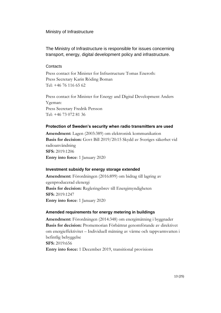#### <span id="page-12-0"></span>Ministry of Infrastructure

## The Ministry of Infrastructure is responsible for issues concerning transport, energy, digital development policy and infrastructure.

#### **Contacts**

Press contact for Minister for Infrastructure Tomas Eneroth: Press Secretary Karin Röding Boman Tel: +46 76 116 65 62

Press contact for Minister for Energy and Digital Development Anders Ygeman: Press Secretary Fredrik Persson Tel: +46 73 072 81 36

## <span id="page-12-1"></span>**Protection of Sweden's security when radio transmitters are used**

**Amendment:** Lagen (2003:389) om elektronisk kommunikation **Basis for decision:** Govt Bill 2019/20:15 Skydd av Sveriges säkerhet vid radioanvändning **SFS:** 2019:1206 **Entry into force**: 1 January 2020

## <span id="page-12-2"></span>**Investment subsidy for energy storage extended**

**Amendment:** Förordningen (2016:899) om bidrag till lagring av egenproducerad elenergi **Basis for decision:** Regleringsbrev till Energimyndigheten **SFS:** 2019:1247 **Entry into force**: 1 January 2020

## <span id="page-12-3"></span>**Amended requirements for energy metering in buildings**

**Amendment:** Förordningen (2014:348) om energimätning i byggnader **Basis for decision:** Promemorian Förbättrat genomförande av direktivet om energieffektivitet – Individuell mätning av värme och tappvarmvatten i befintlig bebyggelse **SFS:** 2019:656 **Entry into force:** 1 December 2019, transitional provisions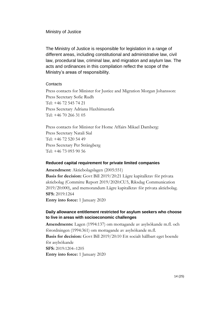#### <span id="page-13-0"></span>Ministry of Justice

The Ministry of Justice is responsible for legislation in a range of different areas, including constitutional and administrative law, civil law, procedural law, criminal law, and migration and asylum law. The acts and ordinances in this compilation reflect the scope of the Ministry's areas of responsibility.

#### **Contacts**

Press contacts for Minister for Justice and Migration Morgan Johansson: Press Secretary Sofie Rudh Tel: +46 72 545 74 21 Press Secretary Adriana Haxhimustafa Tel: +46 70 266 31 05

Press contacts for Minister for Home Affairs Mikael Damberg: Press Secretary Natali Sial Tel: +46 72 520 54 49 Press Secretary Per Strängberg Tel: +46 73 093 90 56

#### <span id="page-13-1"></span>**Reduced capital requirement for private limited companies**

**Amendment:** Aktiebolagslagen (2005:551) **Basis for decision:** Govt Bill 2019/20:21 Lägre kapitalkrav för privata aktiebolag (Committe Report 2019/2020:CU5, Riksdag Communication 2019/20:000), and memorandum Lägre kapitalkrav för privata aktiebolag. **SFS:** 2019:1264

**Entry into force:** 1 January 2020

## <span id="page-13-2"></span>**Daily allowance entitlement restricted for asylum seekers who choose to live in areas with socioeconomic challenges**

**Amendments:** Lagen (1994:137) om mottagande av asylsökande m.fl. och förordningen (1994:361) om mottagande av asylsökande m.fl. **Basis for decision:** Govt Bill 2019/20:10 Ett socialt hållbart eget boende för asylsökande **SFS:** 2019:1204–1205 **Entry into force:** 1 January 2020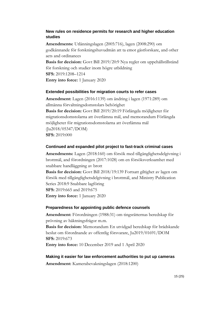## <span id="page-14-0"></span>**New rules on residence permits for research and higher education studies**

**Amendments:** Utlänningslagen (2005:716), lagen (2008:290) om godkännande för forskningshuvudmän att ta emot gästforskare, and other acts and ordinances

**Basis for decision:** Govt Bill 2019/20:9 Nya regler om uppehållstillstånd för forskning och studier inom högre utbildning **SFS:** 2019:1208–1214 **Entry into force:** 1 January 2020

#### <span id="page-14-1"></span>**Extended possibilities for migration courts to refer cases**

**Amendment:** Lagen (2016:1139) om ändring i lagen (1971:289) om allmänna förvaltningsdomstolars behörighet **Basis for decision:** Govt Bill 2019/20:19 Förlängda möjligheter för migrationsdomstolarna att överlämna mål, and memorandum Förlängda möjligheter för migrationsdomstolarna att överlämna mål (Ju2018/05347/DOM) **SFS:** 2019:000

#### <span id="page-14-2"></span>**Continued and expanded pilot project to fast-track criminal cases**

**Amendments:** Lagen (2018:160) om försök med tillgänglighetsdelgivning i brottmål, and förordningen (2017:1028) om en försöksverksamhet med snabbare handläggning av brott

**Basis for decision:** Govt Bill 2018/19:139 Fortsatt giltighet av lagen om försök med tillgänglighetsdelgivning i brottmål, and Ministry Publication Series 2018:9 Snabbare lagföring **SFS:** 2019:665 and 2019:675

**Entry into force:** 1 January 2020

#### <span id="page-14-3"></span>**Preparedness for appointing public defence counsels**

**Amendment:** Förordningen (1988:31) om tingsrätternas beredskap för prövning av häktningsfrågor m.m.

**Basis for decision:** Memorandum En utvidgad beredskap för brådskande beslut om förordnande av offentlig försvarare, Ju2019/01691/DOM **SFS:** 2019:673

**Entry into force:** 10 December 2019 and 1 April 2020

<span id="page-14-4"></span>**Making it easier for law enforcement authorities to put up cameras Amendment:** Kamerabevakningslagen (2018:1200)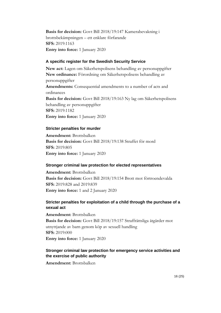**Basis for decision:** Govt Bill 2018/19:147 Kamerabevakning i brottsbekämpningen – ett enklare förfarande **SFS:** 2019:1163 **Entry into force:** 1 January 2020

#### <span id="page-15-0"></span>**A specific register for the Swedish Security Service**

**New act:** Lagen om Säkerhetspolisens behandling av personuppgifter **New ordinance:** Förordning om Säkerhetspolisens behandling av personuppgifter **Amendments:** Consequential amendments to a number of acts and ordinances **Basis for decision:** Govt Bill 2018/19:163 Ny lag om Säkerhetspolisens behandling av personuppgifter **SFS:** 2019:1182 **Entry into force:** 1 January 2020

#### <span id="page-15-1"></span>**Stricter penalties for murder**

**Amendment:** Brottsbalken **Basis for decision:** Govt Bill 2018/19:138 Straffet för mord **SFS:** 2019:805 **Entry into force:** 1 January 2020

#### <span id="page-15-2"></span>**Stronger criminal law protection for elected representatives**

**Amendment:** Brottsbalken **Basis for decision:** Govt Bill 2018/19:154 Brott mot förtroendevalda **SFS:** 2019:828 and 2019:839 **Entry into force:** 1 and 2 January 2020

## <span id="page-15-3"></span>**Stricter penalties for exploitation of a child through the purchase of a sexual act**

**Amendment:** Brottsbalken **Basis for decision:** Govt Bill 2018/19:157 Straffrättsliga åtgärder mot utnyttjande av barn genom köp av sexuell handling **SFS:** 2019:000 **Entry into force:** 1 January 2020

## <span id="page-15-4"></span>**Stronger criminal law protection for emergency service activities and the exercise of public authority**

**Amendment:** Brottsbalken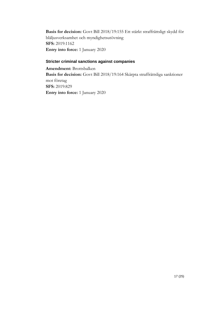**Basis for decision:** Govt Bill 2018/19:155 Ett stärkt straffrättsligt skydd för blåljusverksamhet och myndighetsutövning **SFS:** 2019:1162 **Entry into force:** 1 January 2020

#### <span id="page-16-0"></span>**Stricter criminal sanctions against companies**

**Amendment:** Brottsbalken **Basis for decision:** Govt Bill 2018/19:164 Skärpta straffrättsliga sanktioner mot företag **SFS:** 2019:829 **Entry into force:** 1 January 2020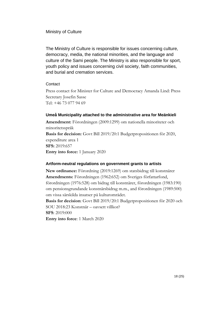## <span id="page-17-0"></span>Ministry of Culture

The Ministry of Culture is responsible for issues concerning culture, democracy, media, the national minorities, and the language and culture of the Sami people. The Ministry is also responsible for sport, youth policy and issues concerning civil society, faith communities, and burial and cremation services.

## **Contact**

Press contact for Minister for Culture and Democracy Amanda Lind: Press Secretary Josefin Sasse Tel: +46 73 077 94 69

## <span id="page-17-1"></span>**Umeå Municipality attached to the administrative area for Meänkieli**

**Amendment:** Förordningen (2009:1299) om nationella minoriteter och minoritetsspråk **Basis for decision:** Govt Bill 2019/20:1 Budgetpropositionen för 2020, expenditure area 1 **SFS:** 2019:657 **Entry into force:** 1 January 2020

#### <span id="page-17-2"></span>**Artform-neutral regulations on government grants to artists**

**New ordinance:** Förordning (2019:1269) om statsbidrag till konstnärer **Amendments:** Förordningen (1962:652) om Sveriges författarfond, förordningen (1976:528) om bidrag till konstnärer, förordningen (1983:190) om pensionsgrundande konstnärsbidrag m.m., and förordningen (1989:500) om vissa särskilda insatser på kulturområdet.

**Basis for decision**: Govt Bill 2019/20:1 Budgetpropositionen för 2020 och SOU 2018:23 Konstnär – oavsett villkor? **SFS**: 2019:000

**Entry into force**: 1 March 2020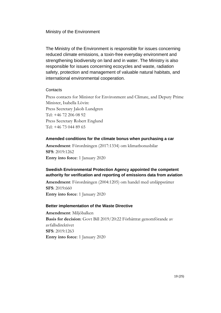#### <span id="page-18-0"></span>Ministry of the Environment

The Ministry of the Environment is responsible for issues concerning reduced climate emissions, a toxin-free everyday environment and strengthening biodiversity on land and in water. The Ministry is also responsible for issues concerning ecocycles and waste, radiation safety, protection and management of valuable natural habitats, and international environmental cooperation.

#### **Contacts**

Press contacts for Minister for Environment and Climate, and Deputy Prime Minister, Isabella Lövin: Press Secretary Jakob Lundgren Tel: +46 72 206 08 92 Press Secretary Robert Englund Tel: +46 73 044 89 65

## <span id="page-18-1"></span>**Amended conditions for the climate bonus when purchasing a car**

**Amendment**: Förordningen (2017:1334) om klimatbonusbilar **SFS**: 2019:1262 **Entry into force**: 1 January 2020

## <span id="page-18-2"></span>**Swedish Environmental Protection Agency appointed the competent authority for verification and reporting of emissions data from aviation**

**Amendment**: Förordningen (2004:1205) om handel med utsläppsrätter **SFS**: 2019:660 **Entry into force**: 1 January 2020

## <span id="page-18-3"></span>**Better implementation of the Waste Directive**

**Amendment**: Miljöbalken **Basis for decision**: Govt Bill 2019/20:22 Förbättrat genomförande av avfallsdirektivet **SFS**: 2019:1263 **Entry into force**: 1 January 2020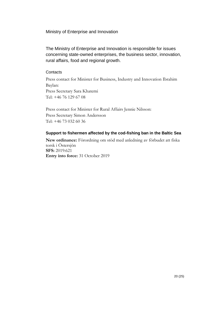<span id="page-19-0"></span>Ministry of Enterprise and Innovation

The Ministry of Enterprise and Innovation is responsible for issues concerning state-owned enterprises, the business sector, innovation, rural affairs, food and regional growth.

#### **Contacts**

Press contact for Minister for Business, Industry and Innovation Ibrahim Baylan: Press Secretary Sara Khatemi Tel: +46 76 129 67 08

Press contact for Minister for Rural Affairs Jennie Nilsson: Press Secretary Simon Andersson Tel: +46 73 032 60 36

## <span id="page-19-1"></span>**Support to fishermen affected by the cod-fishing ban in the Baltic Sea**

**New ordinance:** Förordning om stöd med anledning av förbudet att fiska torsk i Östersjön **SFS:** 2019:621 **Entry into force:** 31 October 2019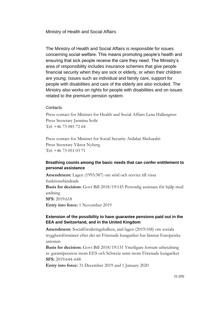<span id="page-20-0"></span>Ministry of Health and Social Affairs

The Ministry of Health and Social Affairs is responsible for issues concerning social welfare. This means promoting people's health and ensuring that sick people receive the care they need. The Ministry's area of responsibility includes insurance schemes that give people financial security when they are sick or elderly, or when their children are young. Issues such as individual and family care, support for people with disabilities and care of the elderly are also included. The Ministry also works on rights for people with disabilities and on issues related to the premium pension system.

#### **Contacts**

Press contact for Minister for Health and Social Affairs Lena Hallengren: Press Secretary Jasmina Sofic Tel: +46 73 085 72 64

Press contact for Minister for Social Security Ardalan Shekarabi: Press Secretary Viktor Nyberg Tel: +46 73 051 03 71

## <span id="page-20-1"></span>**Breathing counts among the basic needs that can confer entitlement to personal assistance**

**Amendment:** Lagen (1993:387) om stöd och service till vissa funktionshindrade **Basis for decision:** Govt Bill 2018/19:145 Personlig assistans för hjälp med andning **SFS:** 2019:618

**Entry into force:** 1 November 2019

## <span id="page-20-2"></span>**Extension of the possibility to have guarantee pensions paid out in the EEA and Switzerland, and in the United Kingdom**

**Amendment:** Socialförsäkringsbalken, and lagen (2019:168) om sociala trygghetsförmåner efter det att Förenade kungariket har lämnat Europeiska unionen

**Basis for decision:** Govt Bill 2018/19:131 Ytterligare fortsatt utbetalning av garantipension inom EES och Schweiz samt inom Förenade kungariket **SFS:** 2019:644–648

**Entry into force:** 31 December 2019 and 1 January 2020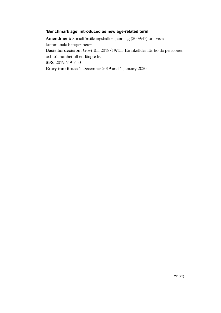#### <span id="page-21-0"></span>**'Benchmark age' introduced as new age-related term**

**Amendment:** Socialförsäkringsbalken, and lag (2009:47) om vissa kommunala befogenheter **Basis for decision:** Govt Bill 2018/19:133 En riktålder för höjda pensioner och följsamhet till ett längre liv **SFS:** 2019:649–650 **Entry into force:** 1 December 2019 and 1 January 2020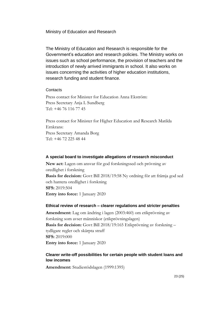<span id="page-22-0"></span>Ministry of Education and Research

The Ministry of Education and Research is responsible for the Government's education and research policies. The Ministry works on issues such as school performance, the provision of teachers and the introduction of newly arrived immigrants in school. It also works on issues concerning the activities of higher education institutions, research funding and student finance.

#### **Contacts**

Press contact for Minister for Education Anna Ekström: Press Secretary Anja L Sundberg Tel: +46 76 116 77 45

Press contact for Minister for Higher Education and Research Matilda Ernkrans: Press Secretary Amanda Borg Tel: +46 72 225 48 44

#### <span id="page-22-1"></span>**A special board to investigate allegations of research misconduct**

**New act:** Lagen om ansvar för god forskningssed och prövning av oredlighet i forskning **Basis for decision:** Govt Bill 2018/19:58 Ny ordning för att främja god sed och hantera oredlighet i forskning **SFS:** 2019:504 **Entry into force:** 1 January 2020

#### <span id="page-22-2"></span>**Ethical review of research – clearer regulations and stricter penalties**

**Amendment:** Lag om ändring i lagen (2003:460) om etikprövning av forskning som avser människor (etikprövningslagen) **Basis for decision:** Govt Bill 2018/19:165 Etikprövning av forskning – tydligare regler och skärpta straff **SFS:** 2019:000 **Entry into force:** 1 January 2020

## <span id="page-22-3"></span>**Clearer write-off possibilities for certain people with student loans and low incomes**

**Amendment:** Studiestödslagen (1999:1395)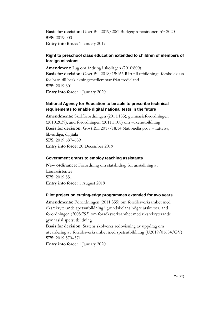**Basis for decision:** Govt Bill 2019/20:1 Budgetpropositionen för 2020 **SFS:** 2019:000 **Entry into force:** 1 January 2019

#### <span id="page-23-0"></span>**Right to preschool class education extended to children of members of foreign missions**

**Amendment:** Lag om ändring i skollagen (2010:800) **Basis for decision:** Govt Bill 2018/19:166 Rätt till utbildning i förskoleklass för barn till beskickningsmedlemmar från tredjeland **SFS:** 2019:801 **Entry into force:** 1 January 2020

## <span id="page-23-1"></span>**National Agency for Education to be able to prescribe technical requirements to enable digital national tests in the future**

**Amendments:** Skolförordningen (2011:185), gymnasieförordningen (2010:2039), and förordningen (2011:1108) om vuxenutbildning **Basis for decision:** Govt Bill 2017/18:14 Nationella prov – rättvisa, likvärdiga, digitala **SFS:** 2019:687–689 **Entry into force:** 20 December 2019

#### <span id="page-23-2"></span>**Government grants to employ teaching assistants**

**New ordinance:** Förordning om statsbidrag för anställning av lärarassistenter **SFS:** 2019:551 **Entry into force:** 1 August 2019

#### <span id="page-23-3"></span>**Pilot project on cutting-edge programmes extended for two years**

**Amendments:** Förordningen (2011:355) om försöksverksamhet med riksrekryterande spetsutbildning i grundskolans högre årskurser, and förordningen (2008:793) om försöksverksamhet med riksrekryterande gymnasial spetsutbildning

**Basis for decision:** Statens skolverks redovisning av uppdrag om utvärdering av försöksverksamhet med spetsutbildning (U2019/01684/GV) **SFS:** 2019:570–571

**Entry into force:** 1 January 2020